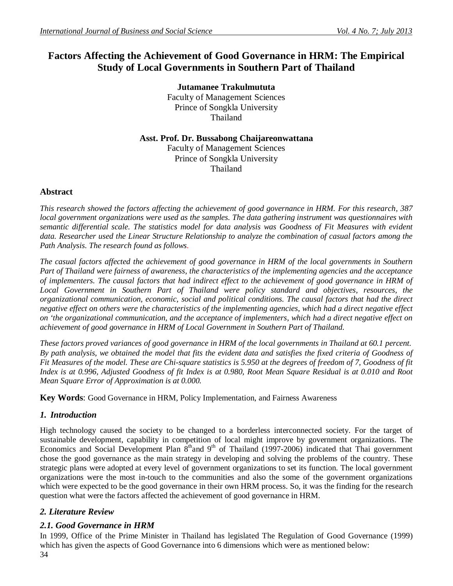# **Factors Affecting the Achievement of Good Governance in HRM: The Empirical Study of Local Governments in Southern Part of Thailand**

**Jutamanee Trakulmututa** Faculty of Management Sciences Prince of Songkla University Thailand

## **Asst. Prof. Dr. Bussabong Chaijareonwattana** Faculty of Management Sciences Prince of Songkla University Thailand

## **Abstract**

*This research showed the factors affecting the achievement of good governance in HRM. For this research, 387 local government organizations were used as the samples. The data gathering instrument was questionnaires with semantic differential scale. The statistics model for data analysis was Goodness of Fit Measures with evident data. Researcher used the Linear Structure Relationship to analyze the combination of casual factors among the Path Analysis. The research found as follows.*

*The casual factors affected the achievement of good governance in HRM of the local governments in Southern Part of Thailand were fairness of awareness, the characteristics of the implementing agencies and the acceptance of implementers. The causal factors that had indirect effect to the achievement of good governance in HRM of Local Government in Southern Part of Thailand were policy standard and objectives, resources, the organizational communication, economic, social and political conditions. The causal factors that had the direct negative effect on others were the characteristics of the implementing agencies, which had a direct negative effect on 'the organizational communication, and the acceptance of implementers, which had a direct negative effect on achievement of good governance in HRM of Local Government in Southern Part of Thailand.*

*These factors proved variances of good governance in HRM of the local governments in Thailand at 60.1 percent. By path analysis, we obtained the model that fits the evident data and satisfies the fixed criteria of Goodness of Fit Measures of the model. These are Chi-square statistics is 5.950 at the degrees of freedom of 7, Goodness of fit Index is at 0.996, Adjusted Goodness of fit Index is at 0.980, Root Mean Square Residual is at 0.010 and Root Mean Square Error of Approximation is at 0.000.* 

**Key Words**: Good Governance in HRM, Policy Implementation, and Fairness Awareness

## *1. Introduction*

High technology caused the society to be changed to a borderless interconnected society. For the target of sustainable development, capability in competition of local might improve by government organizations. The Economics and Social Development Plan 8<sup>th</sup>and 9<sup>th</sup> of Thailand (1997-2006) indicated that Thai government chose the good governance as the main strategy in developing and solving the problems of the country. These strategic plans were adopted at every level of government organizations to set its function. The local government organizations were the most in-touch to the communities and also the some of the government organizations which were expected to be the good governance in their own HRM process. So, it was the finding for the research question what were the factors affected the achievement of good governance in HRM.

## *2. Literature Review*

## *2.1. Good Governance in HRM*

In 1999, Office of the Prime Minister in Thailand has legislated The Regulation of Good Governance (1999) which has given the aspects of Good Governance into 6 dimensions which were as mentioned below: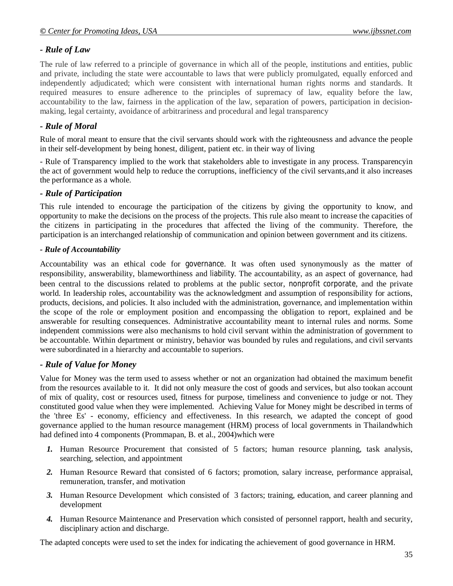## *- Rule of Law*

The rule of law referred to a principle of governance in which all of the people, institutions and entities, public and private, including the state were accountable to laws that were publicly promulgated, equally enforced and independently adjudicated; which were consistent with international human rights norms and standards. It required measures to ensure adherence to the principles of supremacy of law, equality before the law, accountability to the law, fairness in the application of the law, separation of powers, participation in decisionmaking, legal certainty, avoidance of arbitrariness and procedural and legal transparency

## *- Rule of Moral*

Rule of moral meant to ensure that the civil servants should work with the righteousness and advance the people in their self-development by being honest, diligent, patient etc. in their way of living

- Rule of Transparency implied to the work that stakeholders able to investigate in any process. Transparencyin the act of government would help to reduce the corruptions, inefficiency of the civil servants,and it also increases the performance as a whole.

#### *- Rule of Participation*

This rule intended to encourage the participation of the citizens by giving the opportunity to know, and opportunity to make the decisions on the process of the projects. This rule also meant to increase the capacities of the citizens in participating in the procedures that affected the living of the community. Therefore, the participation is an interchanged relationship of communication and opinion between government and its citizens.

#### *- Rule of Accountability*

Accountability was an ethical code for governance. It was often used synonymously as the matter of responsibility, answerability, blameworthiness and liability. The accountability, as an aspect of governance, had been central to the discussions related to problems at the public sector, nonprofit corporate, and the private world. In leadership roles, accountability was the acknowledgment and assumption of responsibility for actions, products, decisions, and policies. It also included with the administration, governance, and implementation within the scope of the role or employment position and encompassing the obligation to report, explained and be answerable for resulting consequences. Administrative accountability meant to internal rules and norms. Some independent commissions were also mechanisms to hold civil servant within the administration of government to be accountable. Within department or ministry, behavior was bounded by rules and regulations, and civil servants were subordinated in a hierarchy and accountable to superiors.

#### *- Rule of Value for Money*

Value for Money was the term used to assess whether or not an organization had obtained the maximum benefit from the resources available to it. It did not only measure the cost of goods and services, but also tookan account of mix of quality, cost or resources used, fitness for purpose, timeliness and convenience to judge or not. They constituted good value when they were implemented. Achieving Value for Money might be described in terms of the 'three Es' - economy, efficiency and effectiveness. In this research, we adapted the concept of good governance applied to the human resource management (HRM) process of local governments in Thailandwhich had defined into 4 components (Prommapan, B. et al., 2004)which were

- *1.* Human Resource Procurement that consisted of 5 factors; human resource planning, task analysis, searching, selection, and appointment
- *2.* Human Resource Reward that consisted of 6 factors; promotion, salary increase, performance appraisal, remuneration, transfer, and motivation
- *3.* Human Resource Development which consisted of 3 factors; training, education, and career planning and development
- *4.* Human Resource Maintenance and Preservation which consisted of personnel rapport, health and security, disciplinary action and discharge.

The adapted concepts were used to set the index for indicating the achievement of good governance in HRM.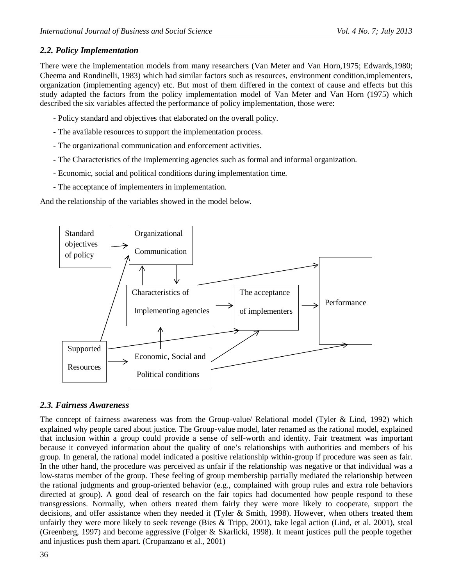## *2.2. Policy Implementation*

There were the implementation models from many researchers (Van Meter and Van Horn,1975; Edwards,1980; Cheema and Rondinelli, 1983) which had similar factors such as resources, environment condition,implementers, organization (implementing agency) etc. But most of them differed in the context of cause and effects but this study adapted the factors from the policy implementation model of Van Meter and Van Horn (1975) which described the six variables affected the performance of policy implementation, those were:

- *-* Policy standard and objectives that elaborated on the overall policy.
- *-* The available resources to support the implementation process.
- *-* The organizational communication and enforcement activities.
- *-* The Characteristics of the implementing agencies such as formal and informal organization.
- *-* Economic, social and political conditions during implementation time.
- *-* The acceptance of implementers in implementation.

And the relationship of the variables showed in the model below.



## *2.3. Fairness Awareness*

The concept of fairness awareness was from the Group-value/ Relational model (Tyler & Lind, 1992) which explained why people cared about justice. The Group-value model, later renamed as the rational model, explained that inclusion within a group could provide a sense of self-worth and identity. Fair treatment was important because it conveyed information about the quality of one's relationships with authorities and members of his group. In general, the rational model indicated a positive relationship within-group if procedure was seen as fair. In the other hand, the procedure was perceived as unfair if the relationship was negative or that individual was a low-status member of the group. These feeling of group membership partially mediated the relationship between the rational judgments and group-oriented behavior (e.g., complained with group rules and extra role behaviors directed at group). A good deal of research on the fair topics had documented how people respond to these transgressions. Normally, when others treated them fairly they were more likely to cooperate, support the decisions, and offer assistance when they needed it (Tyler & Smith, 1998). However, when others treated them unfairly they were more likely to seek revenge (Bies & Tripp, 2001), take legal action (Lind, et al. 2001), steal (Greenberg, 1997) and become aggressive (Folger & Skarlicki, 1998). It meant justices pull the people together and injustices push them apart. (Cropanzano et al., 2001)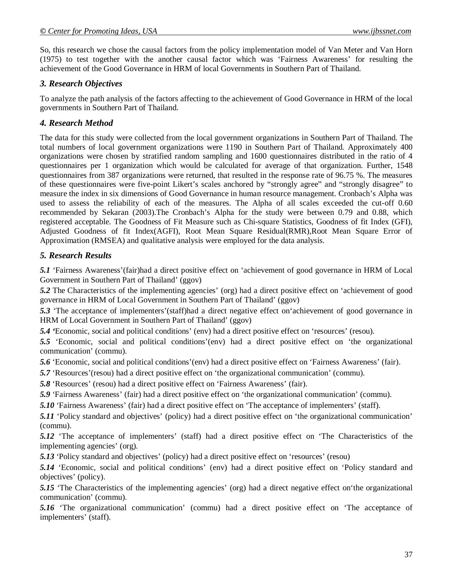So, this research we chose the causal factors from the policy implementation model of Van Meter and Van Horn (1975) to test together with the another causal factor which was 'Fairness Awareness' for resulting the achievement of the Good Governance in HRM of local Governments in Southern Part of Thailand.

#### *3. Research Objectives*

To analyze the path analysis of the factors affecting to the achievement of Good Governance in HRM of the local governments in Southern Part of Thailand.

## *4. Research Method*

The data for this study were collected from the local government organizations in Southern Part of Thailand. The total numbers of local government organizations were 1190 in Southern Part of Thailand. Approximately 400 organizations were chosen by stratified random sampling and 1600 questionnaires distributed in the ratio of 4 questionnaires per 1 organization which would be calculated for average of that organization. Further, 1548 questionnaires from 387 organizations were returned, that resulted in the response rate of 96.75 %. The measures of these questionnaires were five-point Likert's scales anchored by "strongly agree" and "strongly disagree" to measure the index in six dimensions of Good Governance in human resource management. Cronbach's Alpha was used to assess the reliability of each of the measures. The Alpha of all scales exceeded the cut-off 0.60 recommended by Sekaran (2003).The Cronbach's Alpha for the study were between 0.79 and 0.88, which registered acceptable. The Goodness of Fit Measure such as Chi-square Statistics, Goodness of fit Index (GFI), Adjusted Goodness of fit Index(AGFI), Root Mean Square Residual(RMR),Root Mean Square Error of Approximation (RMSEA) and qualitative analysis were employed for the data analysis.

## *5. Research Results*

*5.1* 'Fairness Awareness'(fair)had a direct positive effect on 'achievement of good governance in HRM of Local Government in Southern Part of Thailand' (ggov)

*5.2* The Characteristics of the implementing agencies' (org) had a direct positive effect on 'achievement of good governance in HRM of Local Government in Southern Part of Thailand' (ggov)

*5.3* 'The acceptance of implementers'(staff)had a direct negative effect on'achievement of good governance in HRM of Local Government in Southern Part of Thailand' (ggov)

*5.4 '*Economic, social and political conditions' (env) had a direct positive effect on 'resources' (resou).

*5.5* 'Economic, social and political conditions'(env) had a direct positive effect on 'the organizational communication' (commu).

*5.6* 'Economic, social and political conditions'(env) had a direct positive effect on 'Fairness Awareness' (fair).

*5.7* 'Resources'(resou) had a direct positive effect on 'the organizational communication' (commu).

*5.8* 'Resources' (resou) had a direct positive effect on 'Fairness Awareness' (fair).

*5.9* 'Fairness Awareness' (fair) had a direct positive effect on 'the organizational communication' (commu).

*5.10* 'Fairness Awareness' (fair) had a direct positive effect on 'The acceptance of implementers' (staff).

*5.11* 'Policy standard and objectives' (policy) had a direct positive effect on 'the organizational communication' (commu).

*5.12* 'The acceptance of implementers' (staff) had a direct positive effect on 'The Characteristics of the implementing agencies' (org).

*5.13* 'Policy standard and objectives' (policy) had a direct positive effect on 'resources' (resou)

*5.14* 'Economic, social and political conditions' (env) had a direct positive effect on 'Policy standard and objectives' (policy).

5.15 'The Characteristics of the implementing agencies' (org) had a direct negative effect on the organizational communication' (commu).

*5.16* 'The organizational communication' (commu) had a direct positive effect on 'The acceptance of implementers' (staff).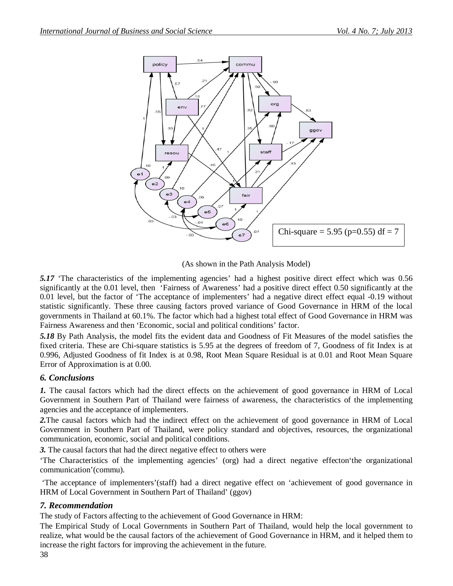

(As shown in the Path Analysis Model)

*5.17* 'The characteristics of the implementing agencies' had a highest positive direct effect which was 0.56 significantly at the 0.01 level, then 'Fairness of Awareness' had a positive direct effect 0.50 significantly at the 0.01 level, but the factor of 'The acceptance of implementers' had a negative direct effect equal -0.19 without statistic significantly. These three causing factors proved variance of Good Governance in HRM of the local governments in Thailand at 60.1%. The factor which had a highest total effect of Good Governance in HRM was Fairness Awareness and then 'Economic, social and political conditions' factor.

*5.18* By Path Analysis, the model fits the evident data and Goodness of Fit Measures of the model satisfies the fixed criteria. These are Chi-square statistics is 5.95 at the degrees of freedom of 7, Goodness of fit Index is at 0.996, Adjusted Goodness of fit Index is at 0.98, Root Mean Square Residual is at 0.01 and Root Mean Square Error of Approximation is at 0.00.

## *6. Conclusions*

*1.* The causal factors which had the direct effects on the achievement of good governance in HRM of Local Government in Southern Part of Thailand were fairness of awareness, the characteristics of the implementing agencies and the acceptance of implementers.

*2.*The causal factors which had the indirect effect on the achievement of good governance in HRM of Local Government in Southern Part of Thailand, were policy standard and objectives, resources, the organizational communication, economic, social and political conditions.

*3.* The causal factors that had the direct negative effect to others were

'The Characteristics of the implementing agencies' (org) had a direct negative effecton'the organizational communication'(commu).

'The acceptance of implementers'(staff) had a direct negative effect on 'achievement of good governance in HRM of Local Government in Southern Part of Thailand' (ggov)

## *7. Recommendation*

The study of Factors affecting to the achievement of Good Governance in HRM:

The Empirical Study of Local Governments in Southern Part of Thailand, would help the local government to realize, what would be the causal factors of the achievement of Good Governance in HRM, and it helped them to increase the right factors for improving the achievement in the future.